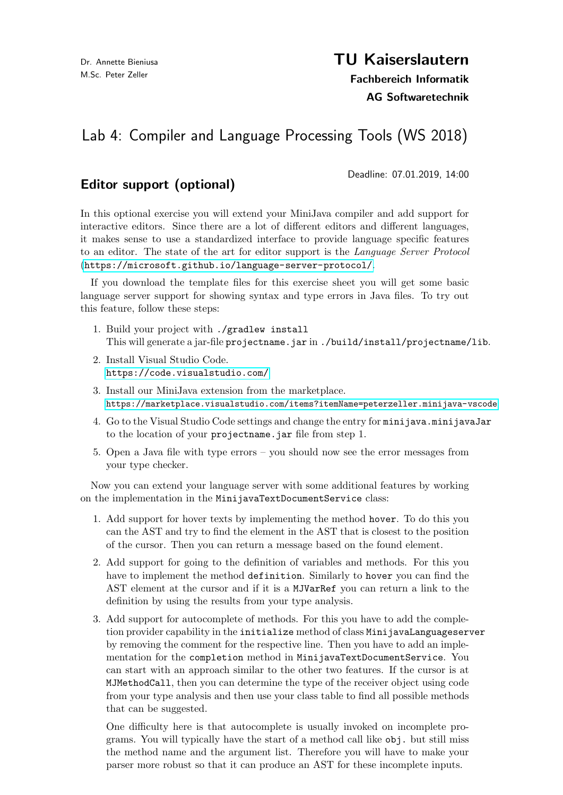# TU Kaiserslautern

Fachbereich Informatik AG Softwaretechnik

# Lab 4: Compiler and Language Processing Tools (WS 2018)

# Editor support (optional)

Deadline: 07.01.2019, 14:00

In this optional exercise you will extend your MiniJava compiler and add support for interactive editors. Since there are a lot of different editors and different languages, it makes sense to use a standardized interface to provide language specific features to an editor. The state of the art for editor support is the Language Server Protocol (<https://microsoft.github.io/language-server-protocol/>.

If you download the template files for this exercise sheet you will get some basic language server support for showing syntax and type errors in Java files. To try out this feature, follow these steps:

- 1. Build your project with ./gradlew install This will generate a jar-file projectname.jar in ./build/install/projectname/lib.
- 2. Install Visual Studio Code. <https://code.visualstudio.com/>
- 3. Install our MiniJava extension from the marketplace. <https://marketplace.visualstudio.com/items?itemName=peterzeller.minijava-vscode>
- 4. Go to the Visual Studio Code settings and change the entry for minijava.minijavaJar to the location of your projectname.jar file from step 1.
- 5. Open a Java file with type errors you should now see the error messages from your type checker.

Now you can extend your language server with some additional features by working on the implementation in the MinijavaTextDocumentService class:

- 1. Add support for hover texts by implementing the method hover. To do this you can the AST and try to find the element in the AST that is closest to the position of the cursor. Then you can return a message based on the found element.
- 2. Add support for going to the definition of variables and methods. For this you have to implement the method definition. Similarly to hover you can find the AST element at the cursor and if it is a MJVarRef you can return a link to the definition by using the results from your type analysis.
- 3. Add support for autocomplete of methods. For this you have to add the completion provider capability in the initialize method of class MinijavaLanguageserver by removing the comment for the respective line. Then you have to add an implementation for the completion method in MinijavaTextDocumentService. You can start with an approach similar to the other two features. If the cursor is at MJMethodCall, then you can determine the type of the receiver object using code from your type analysis and then use your class table to find all possible methods that can be suggested.

One difficulty here is that autocomplete is usually invoked on incomplete programs. You will typically have the start of a method call like obj. but still miss the method name and the argument list. Therefore you will have to make your parser more robust so that it can produce an AST for these incomplete inputs.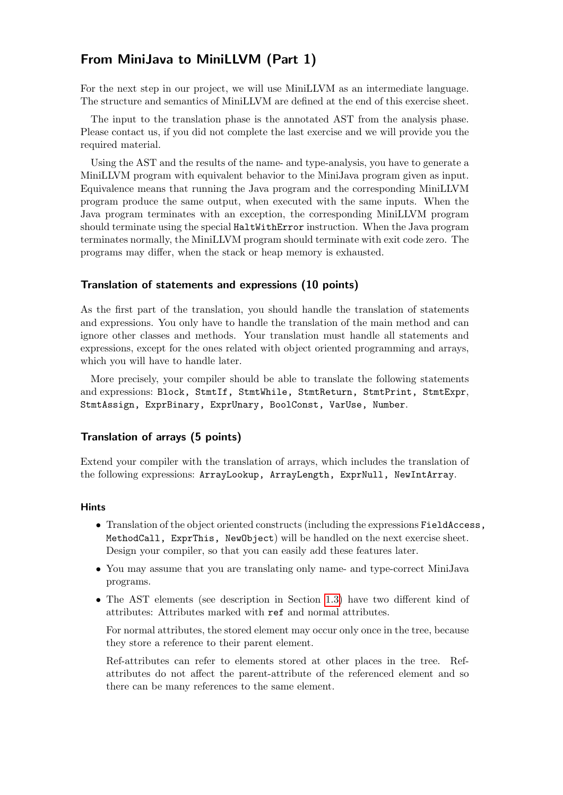## From MiniJava to MiniLLVM (Part 1)

For the next step in our project, we will use MiniLLVM as an intermediate language. The structure and semantics of MiniLLVM are defined at the end of this exercise sheet.

The input to the translation phase is the annotated AST from the analysis phase. Please contact us, if you did not complete the last exercise and we will provide you the required material.

Using the AST and the results of the name- and type-analysis, you have to generate a MiniLLVM program with equivalent behavior to the MiniJava program given as input. Equivalence means that running the Java program and the corresponding MiniLLVM program produce the same output, when executed with the same inputs. When the Java program terminates with an exception, the corresponding MiniLLVM program should terminate using the special HaltWithError instruction. When the Java program terminates normally, the MiniLLVM program should terminate with exit code zero. The programs may differ, when the stack or heap memory is exhausted.

#### Translation of statements and expressions (10 points)

As the first part of the translation, you should handle the translation of statements and expressions. You only have to handle the translation of the main method and can ignore other classes and methods. Your translation must handle all statements and expressions, except for the ones related with object oriented programming and arrays, which you will have to handle later.

More precisely, your compiler should be able to translate the following statements and expressions: Block, StmtIf, StmtWhile, StmtReturn, StmtPrint, StmtExpr, StmtAssign, ExprBinary, ExprUnary, BoolConst, VarUse, Number.

#### Translation of arrays (5 points)

Extend your compiler with the translation of arrays, which includes the translation of the following expressions: ArrayLookup, ArrayLength, ExprNull, NewIntArray.

#### Hints

- Translation of the object oriented constructs (including the expressions FieldAccess, MethodCall, ExprThis, NewObject) will be handled on the next exercise sheet. Design your compiler, so that you can easily add these features later.
- You may assume that you are translating only name- and type-correct MiniJava programs.
- The AST elements (see description in Section [1.3\)](#page-5-0) have two different kind of attributes: Attributes marked with ref and normal attributes.

For normal attributes, the stored element may occur only once in the tree, because they store a reference to their parent element.

Ref-attributes can refer to elements stored at other places in the tree. Refattributes do not affect the parent-attribute of the referenced element and so there can be many references to the same element.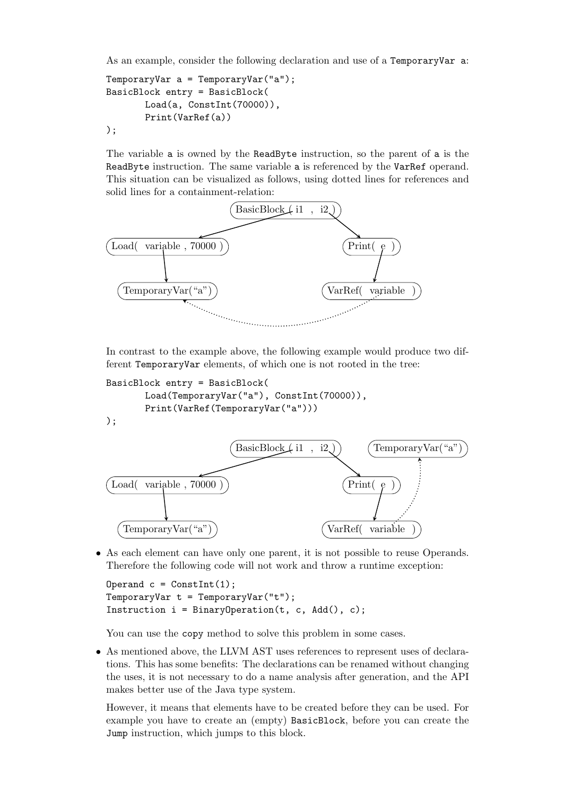As an example, consider the following declaration and use of a TemporaryVar a:

```
TemporaryVar a = TemporaryVar("a");
BasicBlock entry = BasicBlock(
       Load(a, ConstInt(70000)),
       Print(VarRef(a))
);
```
The variable a is owned by the ReadByte instruction, so the parent of a is the ReadByte instruction. The same variable a is referenced by the VarRef operand. This situation can be visualized as follows, using dotted lines for references and solid lines for a containment-relation:



In contrast to the example above, the following example would produce two different TemporaryVar elements, of which one is not rooted in the tree:

```
BasicBlock entry = BasicBlock(
```

```
Load(TemporaryVar("a"), ConstInt(70000)),
Print(VarRef(TemporaryVar("a")))
```




• As each element can have only one parent, it is not possible to reuse Operands. Therefore the following code will not work and throw a runtime exception:

```
Operand c = ConstInt(1);
TemporaryVar t = TemporaryVar("t");
Instruction i = \text{BinaryOperation}(t, c, \text{Add}(), c);
```
You can use the copy method to solve this problem in some cases.

• As mentioned above, the LLVM AST uses references to represent uses of declarations. This has some benefits: The declarations can be renamed without changing the uses, it is not necessary to do a name analysis after generation, and the API makes better use of the Java type system.

However, it means that elements have to be created before they can be used. For example you have to create an (empty) BasicBlock, before you can create the Jump instruction, which jumps to this block.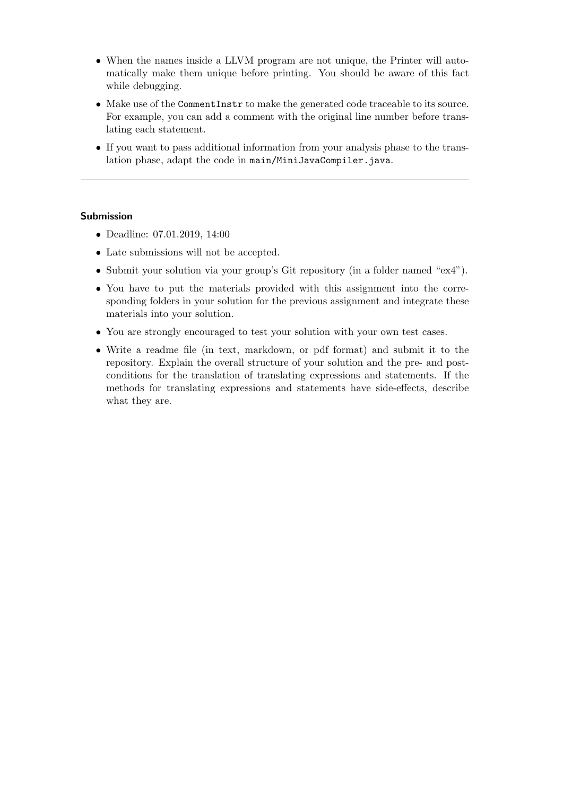- When the names inside a LLVM program are not unique, the Printer will automatically make them unique before printing. You should be aware of this fact while debugging.
- Make use of the CommentInstr to make the generated code traceable to its source. For example, you can add a comment with the original line number before translating each statement.
- If you want to pass additional information from your analysis phase to the translation phase, adapt the code in main/MiniJavaCompiler.java.

#### Submission

- Deadline: 07.01.2019, 14:00
- Late submissions will not be accepted.
- Submit your solution via your group's Git repository (in a folder named "ex4").
- You have to put the materials provided with this assignment into the corresponding folders in your solution for the previous assignment and integrate these materials into your solution.
- You are strongly encouraged to test your solution with your own test cases.
- Write a readme file (in text, markdown, or pdf format) and submit it to the repository. Explain the overall structure of your solution and the pre- and postconditions for the translation of translating expressions and statements. If the methods for translating expressions and statements have side-effects, describe what they are.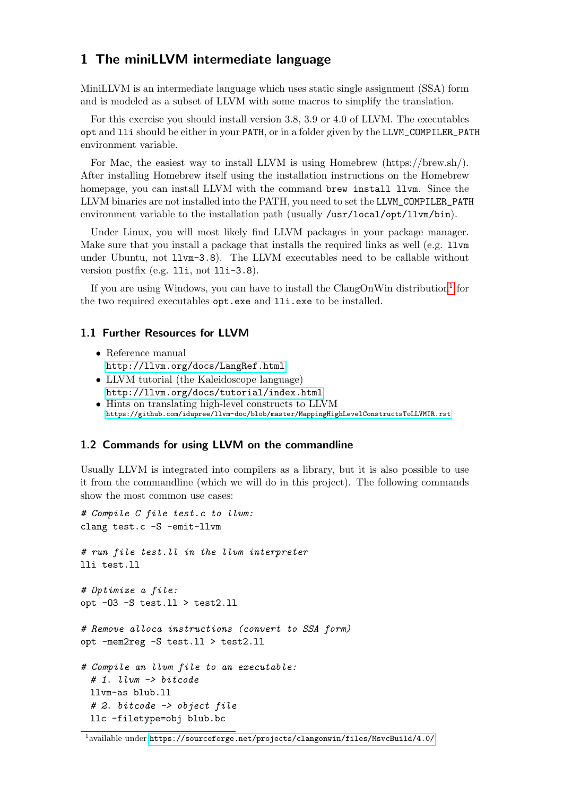### 1 The miniLLVM intermediate language

MiniLLVM is an intermediate language which uses static single assignment (SSA) form and is modeled as a subset of LLVM with some macros to simplify the translation.

For this exercise you should install version 3.8, 3.9 or 4.0 of LLVM. The executables opt and lli should be either in your PATH, or in a folder given by the LLVM\_COMPILER\_PATH environment variable.

For Mac, the easiest way to install LLVM is using Homebrew (https://brew.sh/). After installing Homebrew itself using the installation instructions on the Homebrew homepage, you can install LLVM with the command brew install llvm. Since the LLVM binaries are not installed into the PATH, you need to set the LLVM\_COMPILER\_PATH environment variable to the installation path (usually /usr/local/opt/llvm/bin).

Under Linux, you will most likely find LLVM packages in your package manager. Make sure that you install a package that installs the required links as well (e.g. 11 $\nu$ m under Ubuntu, not llvm-3.8). The LLVM executables need to be callable without version postfix (e.g. lli, not lli-3.8).

If you are using Windows, you can have to install the ClangOnWin distribution<sup>[1](#page-4-0)</sup> for the two required executables opt.exe and lli.exe to be installed.

#### 1.1 Further Resources for LLVM

- $\bullet\,$  Reference manual <http://llvm.org/docs/LangRef.html>
- LLVM tutorial (the Kaleidoscope language) <http://llvm.org/docs/tutorial/index.html> • Hints on translating high-level constructs to LLVM <https://github.com/idupree/llvm-doc/blob/master/MappingHighLevelConstructsToLLVMIR.rst>

#### 1.2 Commands for using LLVM on the commandline

Usually LLVM is integrated into compilers as a library, but it is also possible to use it from the commandline (which we will do in this project). The following commands show the most common use cases:

```
# Compile C file test.c to llvm:
clang test.c -S -emit-llvm
# run file test.ll in the llvm interpreter
lli test.ll
# Optimize a file:
opt -03 - S test.11 > test2.11# Remove alloca instructions (convert to SSA form)
opt -mem2reg -S test.ll > test2.ll
# Compile an llvm file to an executable:
 # 1. llvm -> bitcode
 llvm-as blub.ll
 # 2. bitcode -> object file
 llc -filetype=obj blub.bc
```
<span id="page-4-0"></span> $^{\rm 1}$ available under <code><https://sourceforge.net/projects/clangonwin/files/MsvcBuild/4.0/></code>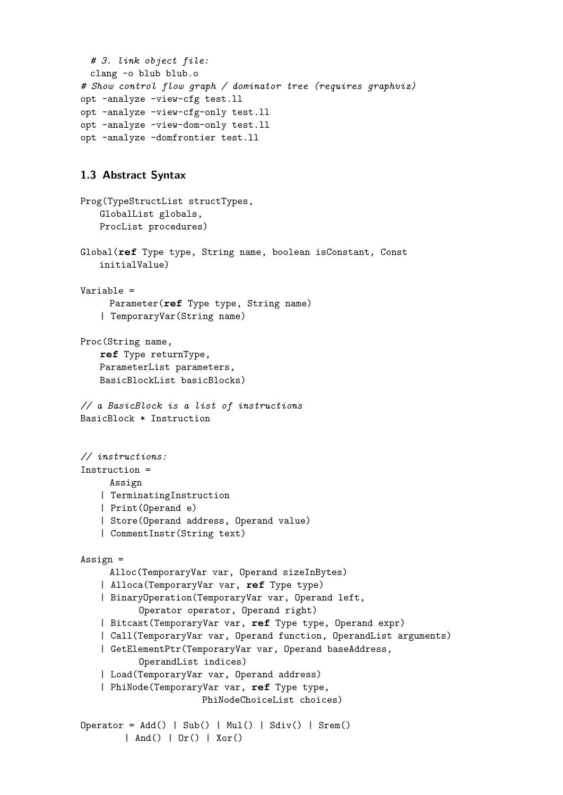```
# 3. link object file:
 clang -o blub blub.o
# Show control flow graph / dominator tree (requires graphviz)
opt -analyze -view-cfg test.ll
opt -analyze -view-cfg-only test.ll
opt -analyze -view-dom-only test.ll
opt -analyze -domfrontier test.ll
```
#### <span id="page-5-0"></span>1.3 Abstract Syntax

```
Prog(TypeStructList structTypes,
   GlobalList globals,
   ProcList procedures)
Global(ref Type type, String name, boolean isConstant, Const
   initialValue)
Variable =
     Parameter(ref Type type, String name)
   | TemporaryVar(String name)
Proc(String name,
   ref Type returnType,
   ParameterList parameters,
   BasicBlockList basicBlocks)
// a BasicBlock is a list of instructions
BasicBlock * Instruction
// instructions:
Instruction =
     Assign
   | TerminatingInstruction
   | Print(Operand e)
   | Store(Operand address, Operand value)
   | CommentInstr(String text)
Assign =
     Alloc(TemporaryVar var, Operand sizeInBytes)
   | Alloca(TemporaryVar var, ref Type type)
    | BinaryOperation(TemporaryVar var, Operand left,
           Operator operator, Operand right)
   | Bitcast(TemporaryVar var, ref Type type, Operand expr)
   | Call(TemporaryVar var, Operand function, OperandList arguments)
   | GetElementPtr(TemporaryVar var, Operand baseAddress,
           OperandList indices)
   | Load(TemporaryVar var, Operand address)
   | PhiNode(TemporaryVar var, ref Type type,
                      PhiNodeChoiceList choices)
Operator = Add() | Sub() | Mul() | Sdiv() | Srem()| And() | Or() | Xor()
```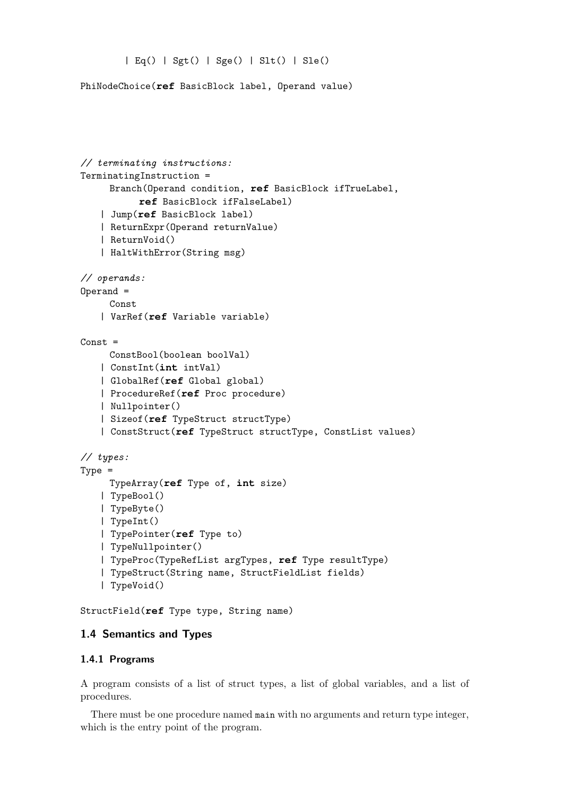```
| Eq() | Sgt() | Sge() | Slt() | Sle()
```
PhiNodeChoice(**ref** BasicBlock label, Operand value)

```
// terminating instructions:
TerminatingInstruction =
     Branch(Operand condition, ref BasicBlock ifTrueLabel,
           ref BasicBlock ifFalseLabel)
   | Jump(ref BasicBlock label)
   | ReturnExpr(Operand returnValue)
   | ReturnVoid()
   | HaltWithError(String msg)
// operands:
Operand =
     Const
   | VarRef(ref Variable variable)
Const =
     ConstBool(boolean boolVal)
   | ConstInt(int intVal)
   | GlobalRef(ref Global global)
   | ProcedureRef(ref Proc procedure)
   | Nullpointer()
   | Sizeof(ref TypeStruct structType)
   | ConstStruct(ref TypeStruct structType, ConstList values)
// types:
Type =
     TypeArray(ref Type of, int size)
   | TypeBool()
   | TypeByte()
   | TypeInt()
   | TypePointer(ref Type to)
   | TypeNullpointer()
   | TypeProc(TypeRefList argTypes, ref Type resultType)
   | TypeStruct(String name, StructFieldList fields)
   | TypeVoid()
```
StructField(**ref** Type type, String name)

#### 1.4 Semantics and Types

#### 1.4.1 Programs

A program consists of a list of struct types, a list of global variables, and a list of procedures.

There must be one procedure named main with no arguments and return type integer, which is the entry point of the program.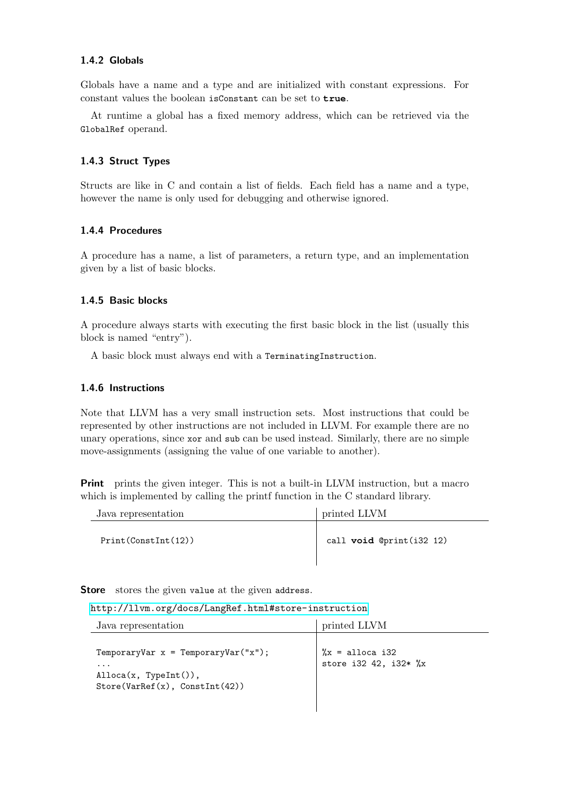#### 1.4.2 Globals

Globals have a name and a type and are initialized with constant expressions. For constant values the boolean isConstant can be set to **true**.

At runtime a global has a fixed memory address, which can be retrieved via the GlobalRef operand.

#### 1.4.3 Struct Types

Structs are like in C and contain a list of fields. Each field has a name and a type, however the name is only used for debugging and otherwise ignored.

#### 1.4.4 Procedures

A procedure has a name, a list of parameters, a return type, and an implementation given by a list of basic blocks.

#### 1.4.5 Basic blocks

A procedure always starts with executing the first basic block in the list (usually this block is named "entry").

A basic block must always end with a TerminatingInstruction.

#### 1.4.6 Instructions

Note that LLVM has a very small instruction sets. Most instructions that could be represented by other instructions are not included in LLVM. For example there are no unary operations, since xor and sub can be used instead. Similarly, there are no simple move-assignments (assigning the value of one variable to another).

Print prints the given integer. This is not a built-in LLVM instruction, but a macro which is implemented by calling the printf function in the C standard library.

| Java representation | printed LLVM                 |
|---------------------|------------------------------|
| Print(Constant(12)) | call $void$ $@print(i32 12)$ |

Store stores the given value at the given address.

| Java representation                                                                                                            | printed LLVM                                 |
|--------------------------------------------------------------------------------------------------------------------------------|----------------------------------------------|
| TemporaryVar $x = TemporaryVar("x")$ ;<br>$\cdots$<br>$\text{Alloca}(x, \text{TypeInt}())$ ,<br>Store(VarRef(x), ConstInt(42)) | $\chi =$ alloca i32<br>store i32 42, i32* %x |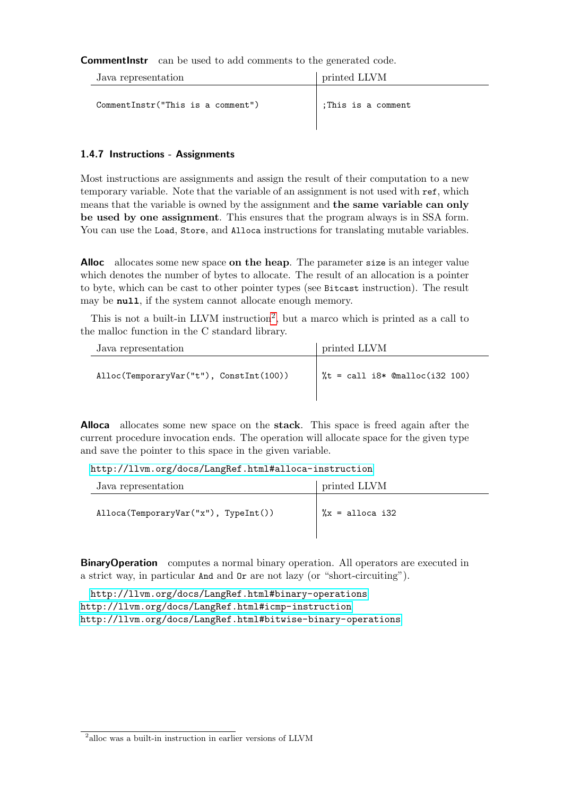**CommentInstr** can be used to add comments to the generated code.

| Java representation               | printed LLVM       |
|-----------------------------------|--------------------|
| CommentInstr("This is a comment") | :This is a comment |

#### 1.4.7 Instructions - Assignments

Most instructions are assignments and assign the result of their computation to a new temporary variable. Note that the variable of an assignment is not used with ref, which means that the variable is owned by the assignment and the same variable can only be used by one assignment. This ensures that the program always is in SSA form. You can use the Load, Store, and Alloca instructions for translating mutable variables.

Alloc allocates some new space on the heap. The parameter size is an integer value which denotes the number of bytes to allocate. The result of an allocation is a pointer to byte, which can be cast to other pointer types (see Bitcast instruction). The result may be **null**, if the system cannot allocate enough memory.

This is not a built-in LLVM instruction<sup>[2](#page-8-0)</sup>, but a marco which is printed as a call to the malloc function in the C standard library.

| Java representation                     | printed LLVM                     |
|-----------------------------------------|----------------------------------|
| Alloc(TemporaryVar("t"), ConstInt(100)) | $%t = call i8* @malloc(i32 100)$ |

Alloca allocates some new space on the stack. This space is freed again after the current procedure invocation ends. The operation will allocate space for the given type and save the pointer to this space in the given variable.

<http://llvm.org/docs/LangRef.html#alloca-instruction>

| Java representation                                  | printed LLVM        |
|------------------------------------------------------|---------------------|
| $\text{Alice}(\text{TemporaryVar}("x")$ , TypeInt()) | $\chi =$ alloca i32 |

**BinaryOperation** computes a normal binary operation. All operators are executed in a strict way, in particular And and Or are not lazy (or "short-circuiting").

<http://llvm.org/docs/LangRef.html#binary-operations> <http://llvm.org/docs/LangRef.html#icmp-instruction> <http://llvm.org/docs/LangRef.html#bitwise-binary-operations>

<span id="page-8-0"></span><sup>2</sup> alloc was a built-in instruction in earlier versions of LLVM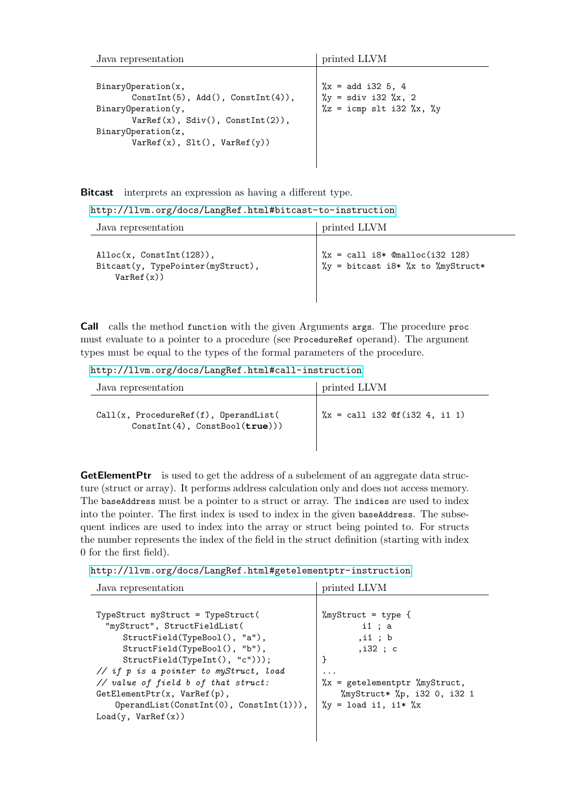| Java representation                                                                                                                                                                        | printed LLVM                                                                                          |
|--------------------------------------------------------------------------------------------------------------------------------------------------------------------------------------------|-------------------------------------------------------------------------------------------------------|
| BinaryOperation(x,<br>$Constitut(5)$ , $Add()$ , $Constitut(4))$ ,<br>BinaryOperation(y,<br>$VarRef(x)$ , $Sdiv()$ , $ConstInt(2)$ ,<br>BinaryOperation(z,<br>VarRef(x), Slt(), VarRef(y)) | $\chi =$ add i32 5, 4<br>$\chi_y$ = sdiv i32 $\chi$ , 2<br>$\chi$ z = icmp slt i32 $\chi$ x, $\chi$ y |

Bitcast interprets an expression as having a different type.

|  |  | http://llvm.org/docs/LangRef.html#bitcast-to-instruction |  |
|--|--|----------------------------------------------------------|--|
|--|--|----------------------------------------------------------|--|

| Java representation                                                                         | printed LLVM                                                                                                         |
|---------------------------------------------------------------------------------------------|----------------------------------------------------------------------------------------------------------------------|
| $\text{Alice}(x, \text{ConstInt}(128)),$<br>Bitcast(y, TypePointer(myStruct),<br>VarRef(x)) | $\frac{9}{8}x = \text{call } i8* \text{@malloc}(i32 128)$<br>$\gamma$ y = bitcast i8* $\chi$ x to $\gamma$ myStruct* |

Call calls the method function with the given Arguments args. The procedure proc must evaluate to a pointer to a procedure (see ProcedureRef operand). The argument types must be equal to the types of the formal parameters of the procedure.

<http://llvm.org/docs/LangRef.html#call-instruction>

| Java representation                                                              | printed LLVM                                                      |
|----------------------------------------------------------------------------------|-------------------------------------------------------------------|
| $Call(x, ProceedureRef(f), OperandList($<br>$Constitut(4)$ , $ConstBool(true$ )) | $\frac{9}{2}x = \text{call } i32 \text{ Of } (i32 \ 4, \ i1 \ 1)$ |

**GetElementPtr** is used to get the address of a subelement of an aggregate data structure (struct or array). It performs address calculation only and does not access memory. The baseAddress must be a pointer to a struct or array. The indices are used to index into the pointer. The first index is used to index in the given baseAddress. The subsequent indices are used to index into the array or struct being pointed to. For structs the number represents the index of the field in the struct definition (starting with index 0 for the first field).

|  |  | http://llvm.org/docs/LangRef.html#getelementptr-instruction |
|--|--|-------------------------------------------------------------|
|--|--|-------------------------------------------------------------|

| Java representation                                                                                                                                                                                                                                                                                                                | printed LLVM                                                                                                                                                                                  |
|------------------------------------------------------------------------------------------------------------------------------------------------------------------------------------------------------------------------------------------------------------------------------------------------------------------------------------|-----------------------------------------------------------------------------------------------------------------------------------------------------------------------------------------------|
| TypeStruct myStruct = TypeStruct(<br>"myStruct", StructFieldList(<br>StructField(TypeBool(), "a"),<br>StructField(TypeBool(), "b"),<br>StructField(TypeInt(), "c")));<br>// if p is a pointer to myStruct, load<br>// value of field b of that struct:<br>GetElementPtr(x, VarRef(p),<br>$OperandList(ConstInt(0), ConstInt(1))),$ | %myStruct = type {<br>$i1$ ; a<br>$,$ i1 ; $b$<br>$,$ i32 ; c<br>ŀ<br>$\cdot$<br>$\chi =$ getelementptr $\gamma$ myStruct,<br>%myStruct* %p, i32 0, i32 1<br>$\chi_y$ = load i1, i1* $\chi_x$ |
| Load(y, VarRef(x))                                                                                                                                                                                                                                                                                                                 |                                                                                                                                                                                               |

 $\overline{\phantom{a}}$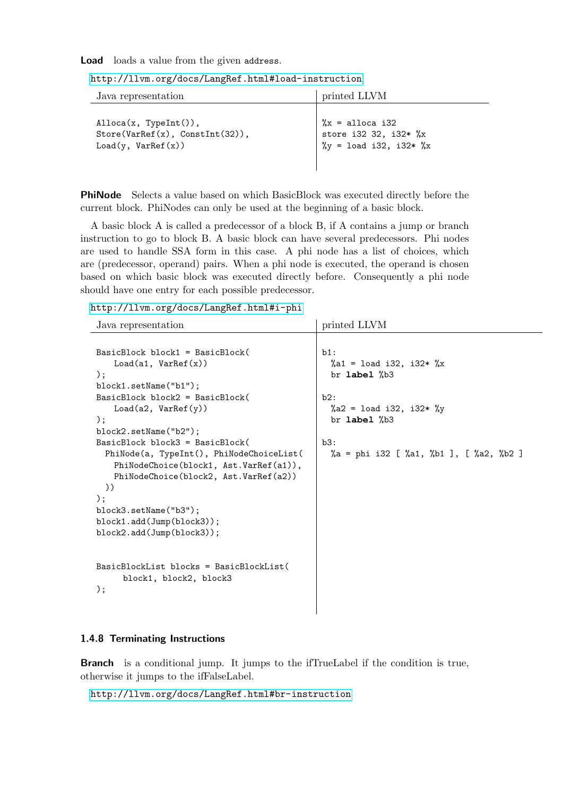#### Load loads a value from the given address.

| Java representation                                                                            | printed LLVM                                                                   |
|------------------------------------------------------------------------------------------------|--------------------------------------------------------------------------------|
| $\text{Alice}(x, \text{TypeInt}())$ ,<br>Store(VarRef(x), ConstInt(32)),<br>Load(y, VarRef(x)) | $\frac{9}{6}x =$ alloca i32<br>store i32 32, i32* %x<br>%y = load i32, i32* %x |

PhiNode Selects a value based on which BasicBlock was executed directly before the current block. PhiNodes can only be used at the beginning of a basic block.

A basic block A is called a predecessor of a block B, if A contains a jump or branch instruction to go to block B. A basic block can have several predecessors. Phi nodes are used to handle SSA form in this case. A phi node has a list of choices, which are (predecessor, operand) pairs. When a phi node is executed, the operand is chosen based on which basic block was executed directly before. Consequently a phi node should have one entry for each possible predecessor.

#### <http://llvm.org/docs/LangRef.html#i-phi>

| Java representation                      | printed LLVM                            |
|------------------------------------------|-----------------------------------------|
|                                          |                                         |
| BasicBlock block1 = BasicBlock(          | $b1$ :                                  |
| Load(a1, VarRef(x))                      | %a1 = load i32, i32* %x                 |
| $)$ ;                                    | br $label$ $%$ $%$ $%$                  |
| block1. setName("b1");                   |                                         |
| $BasicBlock block2 = BasicBlock($        | b2:                                     |
| Load(a2, VarRef(y))                      | %a2 = load i32, i32* %y                 |
| $)$ ;                                    | br label %b3                            |
| block2.setName("b2");                    |                                         |
| $BasicBlock block3 = BasicBlock($        | b3:                                     |
| PhiNode(a, TypeInt(), PhiNodeChoiceList( | %a = phi i32 [ %a1, %b1 ], [ %a2, %b2 ] |
| PhiNodeChoice(block1, Ast.VarRef(a1)),   |                                         |
| PhiNodeChoice(block2, Ast.VarRef(a2))    |                                         |
| )                                        |                                         |
| );                                       |                                         |
| block3.setName("b3");                    |                                         |
| block1.add(Jump(block3));                |                                         |
| block2.add(Jump(block3));                |                                         |
|                                          |                                         |
|                                          |                                         |
| BasicBlockList blocks = BasicBlockList(  |                                         |
| block1, block2, block3                   |                                         |
| );                                       |                                         |
|                                          |                                         |
|                                          |                                         |

#### 1.4.8 Terminating Instructions

Branch is a conditional jump. It jumps to the ifTrueLabel if the condition is true, otherwise it jumps to the ifFalseLabel.

<http://llvm.org/docs/LangRef.html#br-instruction>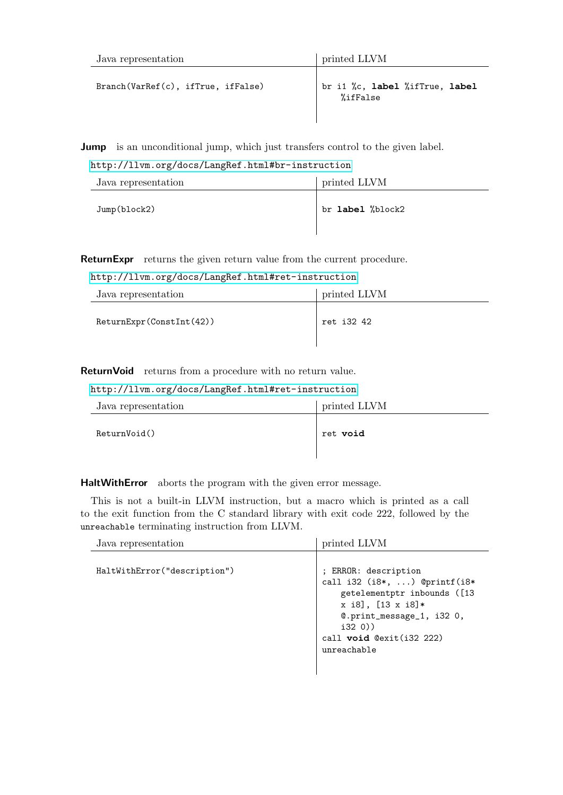| Java representation                | printed LLVM                               |
|------------------------------------|--------------------------------------------|
| Branch(VarRef(c), ifTrue, ifFalse) | br i1 %c, label %ifTrue, label<br>%ifFalse |

**Jump** is an unconditional jump, which just transfers control to the given label.

<http://llvm.org/docs/LangRef.html#br-instruction>

| Java representation | printed LLVM     |
|---------------------|------------------|
| Jump(bllock2)       | br label %block2 |

ReturnExpr returns the given return value from the current procedure.

<http://llvm.org/docs/LangRef.html#ret-instruction>

| Java representation      | printed LLVM |
|--------------------------|--------------|
| ReturnExpr(ConstInt(42)) | ret i32 42   |

ReturnVoid returns from a procedure with no return value.

#### <http://llvm.org/docs/LangRef.html#ret-instruction>

| Java representation | printed LLVM |
|---------------------|--------------|
| ReturnVoid()        | ret void     |

HaltWithError aborts the program with the given error message.

This is not a built-in LLVM instruction, but a macro which is printed as a call to the exit function from the C standard library with exit code 222, followed by the unreachable terminating instruction from LLVM.

| Java representation          | printed LLVM                                                                                                                                                                                      |
|------------------------------|---------------------------------------------------------------------------------------------------------------------------------------------------------------------------------------------------|
| HaltWithError("description") | ; ERROR: description<br>call i32 $(i8*, \ldots)$ @printf(i8*<br>getelementptr inbounds ([13<br>x i8], [13 x i8]*<br>@.print_message_1, i32 0,<br>i320)<br>call void @exit(i32 222)<br>unreachable |